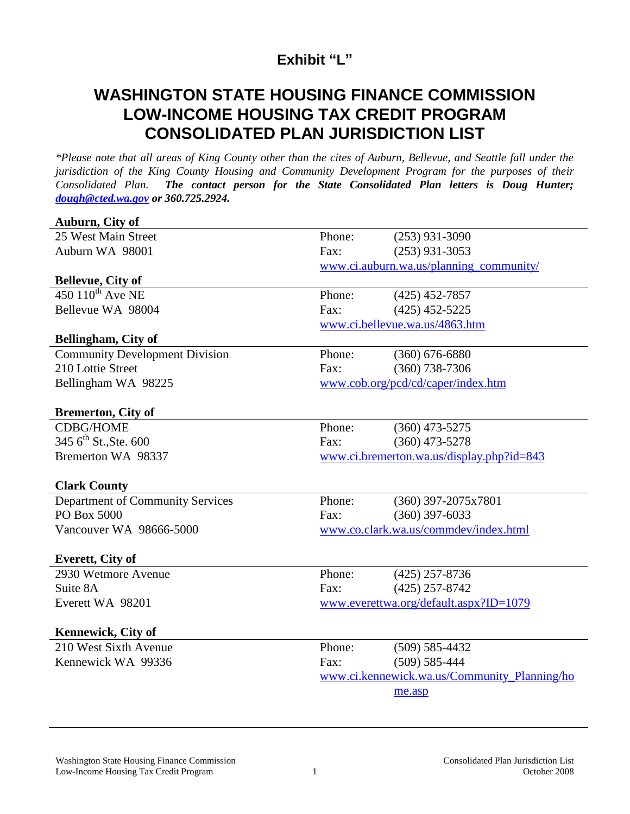## **Exhibit "L"**

## **WASHINGTON STATE HOUSING FINANCE COMMISSION LOW-INCOME HOUSING TAX CREDIT PROGRAM CONSOLIDATED PLAN JURISDICTION LIST**

*\*Please note that all areas of King County other than the cites of Auburn, Bellevue, and Seattle fall under the jurisdiction of the King County Housing and Community Development Program for the purposes of their Consolidated Plan. The contact person for the State Consolidated Plan letters is Doug Hunter; [dough@cted.wa.gov](mailto:dough@cted.wa.gov) or 360.725.2924.*

| Auburn, City of                       |                                              |                       |  |
|---------------------------------------|----------------------------------------------|-----------------------|--|
| 25 West Main Street                   | Phone:                                       | $(253)$ 931-3090      |  |
| Auburn WA 98001                       | Fax:                                         | $(253)$ 931-3053      |  |
|                                       | www.ci.auburn.wa.us/planning_community/      |                       |  |
| Bellevue, City of                     |                                              |                       |  |
| $450$ $110^{th}$ Ave NE               | Phone:                                       | $(425)$ 452-7857      |  |
| Bellevue WA 98004                     | Fax:                                         | $(425)$ 452-5225      |  |
|                                       | www.ci.bellevue.wa.us/4863.htm               |                       |  |
| Bellingham, City of                   |                                              |                       |  |
| <b>Community Development Division</b> | Phone:                                       | $(360)$ 676-6880      |  |
| 210 Lottie Street                     | Fax:                                         | $(360)$ 738-7306      |  |
| Bellingham WA 98225                   | www.cob.org/pcd/cd/caper/index.htm           |                       |  |
|                                       |                                              |                       |  |
| <b>Bremerton, City of</b>             |                                              |                       |  |
| <b>CDBG/HOME</b>                      | Phone:                                       | $(360)$ 473-5275      |  |
| 345 6 <sup>th</sup> St., Ste. 600     | Fax:                                         | $(360)$ 473-5278      |  |
| Bremerton WA 98337                    | www.ci.bremerton.wa.us/display.php?id=843    |                       |  |
|                                       |                                              |                       |  |
| <b>Clark County</b>                   |                                              |                       |  |
| Department of Community Services      | Phone:                                       | $(360)$ 397-2075x7801 |  |
| PO Box 5000                           | Fax:                                         | $(360)$ 397-6033      |  |
| Vancouver WA 98666-5000               | www.co.clark.wa.us/commdev/index.html        |                       |  |
|                                       |                                              |                       |  |
| Everett, City of                      |                                              |                       |  |
| 2930 Wetmore Avenue                   | Phone:                                       | $(425)$ 257-8736      |  |
| Suite 8A                              | Fax:                                         | $(425)$ 257-8742      |  |
| Everett WA 98201                      | www.everettwa.org/default.aspx?ID=1079       |                       |  |
|                                       |                                              |                       |  |
| <b>Kennewick, City of</b>             |                                              |                       |  |
| 210 West Sixth Avenue                 | Phone:                                       | $(509) 585 - 4432$    |  |
| Kennewick WA 99336                    | Fax:                                         | $(509) 585 - 444$     |  |
|                                       | www.ci.kennewick.wa.us/Community_Planning/ho |                       |  |
|                                       |                                              | me.asp                |  |
|                                       |                                              |                       |  |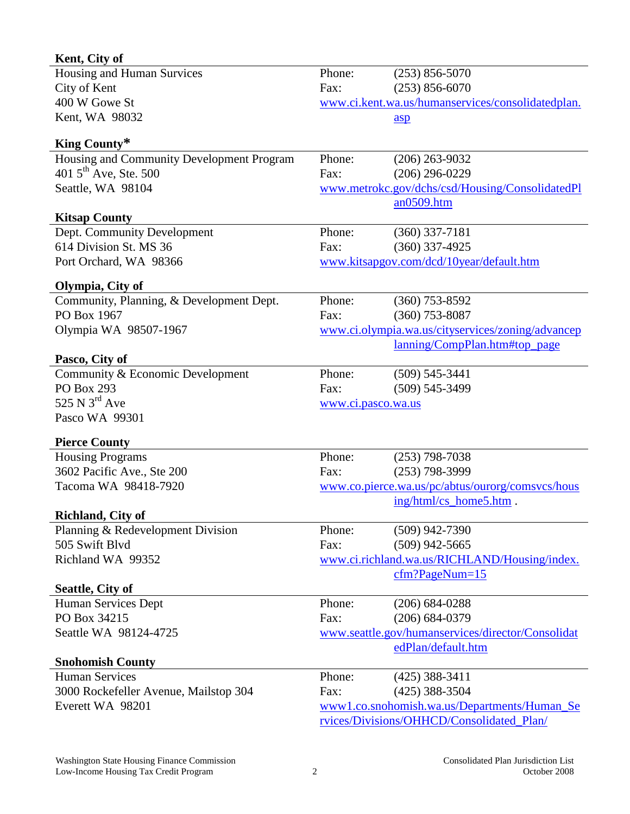| Kent, City of                             |                                                   |                                                   |  |
|-------------------------------------------|---------------------------------------------------|---------------------------------------------------|--|
| Housing and Human Survices                | Phone:                                            | $(253) 856 - 5070$                                |  |
| City of Kent                              | Fax:                                              | $(253) 856 - 6070$                                |  |
| 400 W Gowe St                             | www.ci.kent.wa.us/humanservices/consolidatedplan. |                                                   |  |
| Kent, WA 98032                            |                                                   | $\frac{\text{asp}}{\text{asp}}$                   |  |
| King County*                              |                                                   |                                                   |  |
| Housing and Community Development Program | Phone:                                            | $(206)$ 263-9032                                  |  |
| 401 $5^{\text{th}}$ Ave, Ste. 500         | Fax:                                              | $(206)$ 296-0229                                  |  |
| Seattle, WA 98104                         |                                                   | www.metrokc.gov/dchs/csd/Housing/ConsolidatedPl   |  |
|                                           |                                                   | an0509.htm                                        |  |
| <b>Kitsap County</b>                      |                                                   |                                                   |  |
| Dept. Community Development               | Phone:                                            | $(360)$ 337-7181                                  |  |
| 614 Division St. MS 36                    | Fax:                                              | $(360)$ 337-4925                                  |  |
| Port Orchard, WA 98366                    |                                                   | www.kitsapgov.com/dcd/10year/default.htm          |  |
|                                           |                                                   |                                                   |  |
| Olympia, City of                          |                                                   |                                                   |  |
| Community, Planning, & Development Dept.  | Phone:                                            | $(360)$ 753-8592                                  |  |
| PO Box 1967                               | Fax:                                              | $(360)$ 753-8087                                  |  |
| Olympia WA 98507-1967                     | www.ci.olympia.wa.us/cityservices/zoning/advancep |                                                   |  |
|                                           |                                                   | lanning/CompPlan.htm#top_page                     |  |
| Pasco, City of                            |                                                   |                                                   |  |
| Community & Economic Development          | Phone:                                            | $(509) 545 - 3441$                                |  |
| <b>PO Box 293</b>                         | Fax:                                              | $(509) 545 - 3499$                                |  |
| 525 N $3^{\text{rd}}$ Ave                 | www.ci.pasco.wa.us                                |                                                   |  |
| Pasco WA 99301                            |                                                   |                                                   |  |
| <b>Pierce County</b>                      |                                                   |                                                   |  |
| <b>Housing Programs</b>                   | Phone:                                            | $(253)$ 798-7038                                  |  |
| 3602 Pacific Ave., Ste 200                | Fax:                                              | $(253)$ 798-3999                                  |  |
| Tacoma WA 98418-7920                      | www.co.pierce.wa.us/pc/abtus/ourorg/comsvcs/hous  |                                                   |  |
|                                           |                                                   | ing/html/cs_home5.htm.                            |  |
| <b>Richland, City of</b>                  |                                                   |                                                   |  |
| Planning & Redevelopment Division         | Phone:                                            | $(509)$ 942-7390                                  |  |
| 505 Swift Blvd                            | Fax:                                              | $(509)$ 942-5665                                  |  |
| Richland WA 99352                         |                                                   | www.ci.richland.wa.us/RICHLAND/Housing/index.     |  |
|                                           |                                                   | $cfm?PageNum=15$                                  |  |
| <b>Seattle, City of</b>                   |                                                   |                                                   |  |
| Human Services Dept                       | Phone:                                            | $(206) 684 - 0288$                                |  |
| PO Box 34215                              | Fax:                                              | $(206) 684 - 0379$                                |  |
| Seattle WA 98124-4725                     |                                                   | www.seattle.gov/humanservices/director/Consolidat |  |
|                                           |                                                   | edPlan/default.htm                                |  |
| <b>Snohomish County</b>                   |                                                   |                                                   |  |
| <b>Human Services</b>                     | Phone:                                            | $(425)$ 388-3411                                  |  |
| 3000 Rockefeller Avenue, Mailstop 304     | Fax:                                              | $(425)$ 388-3504                                  |  |
| Everett WA 98201                          |                                                   | www1.co.snohomish.wa.us/Departments/Human_Se      |  |
|                                           | rvices/Divisions/OHHCD/Consolidated_Plan/         |                                                   |  |

l,

l,

l,